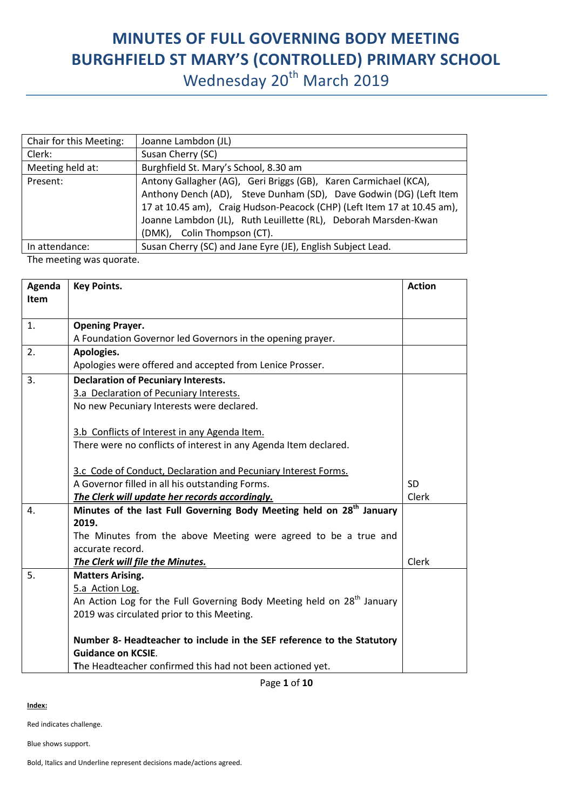## **MINUTES OF FULL GOVERNING BODY MEETING BURGHFIELD ST MARY'S (CONTROLLED) PRIMARY SCHOOL** Wednesday 20<sup>th</sup> March 2019

| Chair for this Meeting: | Joanne Lambdon (JL)                                                                                                                                                                                                                                                                                                 |
|-------------------------|---------------------------------------------------------------------------------------------------------------------------------------------------------------------------------------------------------------------------------------------------------------------------------------------------------------------|
| Clerk:                  | Susan Cherry (SC)                                                                                                                                                                                                                                                                                                   |
| Meeting held at:        | Burghfield St. Mary's School, 8.30 am                                                                                                                                                                                                                                                                               |
| Present:                | Antony Gallagher (AG), Geri Briggs (GB), Karen Carmichael (KCA),<br>Anthony Dench (AD), Steve Dunham (SD), Dave Godwin (DG) (Left Item<br>17 at 10.45 am), Craig Hudson-Peacock (CHP) (Left Item 17 at 10.45 am),<br>Joanne Lambdon (JL), Ruth Leuillette (RL), Deborah Marsden-Kwan<br>(DMK), Colin Thompson (CT). |
| In attendance:          | Susan Cherry (SC) and Jane Eyre (JE), English Subject Lead.                                                                                                                                                                                                                                                         |

The meeting was quorate.

| Agenda           | <b>Key Points.</b>                                                                 | <b>Action</b> |
|------------------|------------------------------------------------------------------------------------|---------------|
| Item             |                                                                                    |               |
|                  |                                                                                    |               |
| 1.               | <b>Opening Prayer.</b>                                                             |               |
|                  | A Foundation Governor led Governors in the opening prayer.                         |               |
| 2.               | Apologies.                                                                         |               |
|                  | Apologies were offered and accepted from Lenice Prosser.                           |               |
| 3.               | <b>Declaration of Pecuniary Interests.</b>                                         |               |
|                  | 3.a Declaration of Pecuniary Interests.                                            |               |
|                  | No new Pecuniary Interests were declared.                                          |               |
|                  |                                                                                    |               |
|                  | 3.b Conflicts of Interest in any Agenda Item.                                      |               |
|                  | There were no conflicts of interest in any Agenda Item declared.                   |               |
|                  | 3.c Code of Conduct, Declaration and Pecuniary Interest Forms.                     |               |
|                  | A Governor filled in all his outstanding Forms.                                    | <b>SD</b>     |
|                  | The Clerk will update her records accordingly.                                     | Clerk         |
| $\overline{4}$ . | Minutes of the last Full Governing Body Meeting held on 28 <sup>th</sup> January   |               |
|                  | 2019.                                                                              |               |
|                  | The Minutes from the above Meeting were agreed to be a true and                    |               |
|                  | accurate record.                                                                   |               |
|                  | The Clerk will file the Minutes.                                                   | Clerk         |
| 5.               | <b>Matters Arising.</b>                                                            |               |
|                  | 5.a Action Log.                                                                    |               |
|                  | An Action Log for the Full Governing Body Meeting held on 28 <sup>th</sup> January |               |
|                  | 2019 was circulated prior to this Meeting.                                         |               |
|                  |                                                                                    |               |
|                  | Number 8- Headteacher to include in the SEF reference to the Statutory             |               |
|                  | <b>Guidance on KCSIE.</b>                                                          |               |
|                  | The Headteacher confirmed this had not been actioned yet.                          |               |

Page **1** of **10**

**Index:**

Red indicates challenge.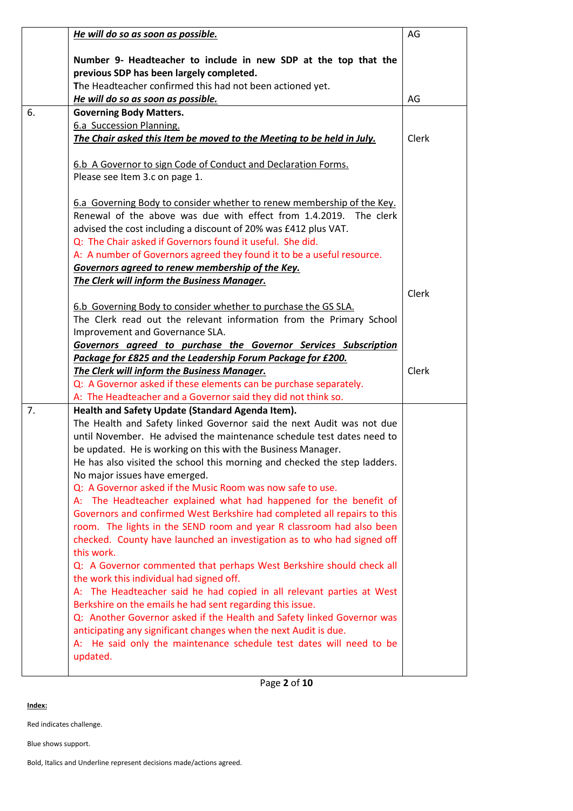|    | He will do so as soon as possible.                                                                         | AG    |
|----|------------------------------------------------------------------------------------------------------------|-------|
|    | Number 9- Headteacher to include in new SDP at the top that the                                            |       |
|    | previous SDP has been largely completed.                                                                   |       |
|    | The Headteacher confirmed this had not been actioned yet.                                                  |       |
|    | He will do so as soon as possible.                                                                         | AG    |
| 6. | <b>Governing Body Matters.</b>                                                                             |       |
|    | 6.a Succession Planning.                                                                                   |       |
|    | The Chair asked this Item be moved to the Meeting to be held in July.                                      | Clerk |
|    |                                                                                                            |       |
|    | 6.b A Governor to sign Code of Conduct and Declaration Forms.<br>Please see Item 3.c on page 1.            |       |
|    |                                                                                                            |       |
|    | 6.a Governing Body to consider whether to renew membership of the Key.                                     |       |
|    | Renewal of the above was due with effect from 1.4.2019. The clerk                                          |       |
|    | advised the cost including a discount of 20% was £412 plus VAT.                                            |       |
|    | Q: The Chair asked if Governors found it useful. She did.                                                  |       |
|    | A: A number of Governors agreed they found it to be a useful resource.                                     |       |
|    | Governors agreed to renew membership of the Key.                                                           |       |
|    | The Clerk will inform the Business Manager.                                                                |       |
|    |                                                                                                            | Clerk |
|    | 6.b Governing Body to consider whether to purchase the GS SLA.                                             |       |
|    | The Clerk read out the relevant information from the Primary School                                        |       |
|    | Improvement and Governance SLA.                                                                            |       |
|    | Governors agreed to purchase the Governor Services Subscription                                            |       |
|    | Package for £825 and the Leadership Forum Package for £200.                                                |       |
|    | The Clerk will inform the Business Manager.                                                                | Clerk |
|    | Q: A Governor asked if these elements can be purchase separately.                                          |       |
|    | A: The Headteacher and a Governor said they did not think so.                                              |       |
| 7. | Health and Safety Update (Standard Agenda Item).                                                           |       |
|    | The Health and Safety linked Governor said the next Audit was not due                                      |       |
|    | until November. He advised the maintenance schedule test dates need to                                     |       |
|    | be updated. He is working on this with the Business Manager.                                               |       |
|    | He has also visited the school this morning and checked the step ladders.<br>No major issues have emerged. |       |
|    | Q: A Governor asked if the Music Room was now safe to use.                                                 |       |
|    | A: The Headteacher explained what had happened for the benefit of                                          |       |
|    | Governors and confirmed West Berkshire had completed all repairs to this                                   |       |
|    | room. The lights in the SEND room and year R classroom had also been                                       |       |
|    | checked. County have launched an investigation as to who had signed off                                    |       |
|    | this work.                                                                                                 |       |
|    | Q: A Governor commented that perhaps West Berkshire should check all                                       |       |
|    | the work this individual had signed off.                                                                   |       |
|    | A: The Headteacher said he had copied in all relevant parties at West                                      |       |
|    | Berkshire on the emails he had sent regarding this issue.                                                  |       |
|    | Q: Another Governor asked if the Health and Safety linked Governor was                                     |       |
|    | anticipating any significant changes when the next Audit is due.                                           |       |
|    | A: He said only the maintenance schedule test dates will need to be                                        |       |
|    | updated.                                                                                                   |       |
|    |                                                                                                            |       |
|    |                                                                                                            |       |

**Index:**

Red indicates challenge.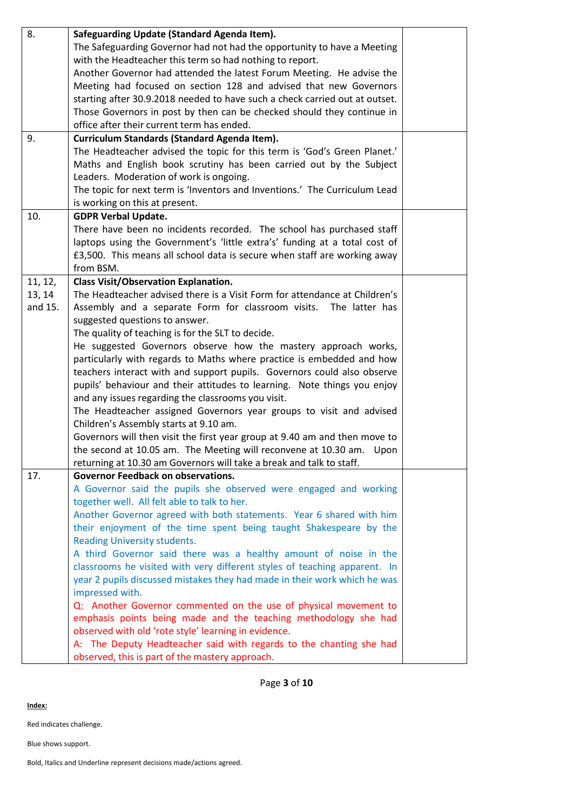| 8.      | Safeguarding Update (Standard Agenda Item).                                 |  |
|---------|-----------------------------------------------------------------------------|--|
|         | The Safeguarding Governor had not had the opportunity to have a Meeting     |  |
|         | with the Headteacher this term so had nothing to report.                    |  |
|         | Another Governor had attended the latest Forum Meeting. He advise the       |  |
|         | Meeting had focused on section 128 and advised that new Governors           |  |
|         | starting after 30.9.2018 needed to have such a check carried out at outset. |  |
|         | Those Governors in post by then can be checked should they continue in      |  |
|         | office after their current term has ended.                                  |  |
| 9.      | Curriculum Standards (Standard Agenda Item).                                |  |
|         | The Headteacher advised the topic for this term is 'God's Green Planet.'    |  |
|         | Maths and English book scrutiny has been carried out by the Subject         |  |
|         | Leaders. Moderation of work is ongoing.                                     |  |
|         |                                                                             |  |
|         | The topic for next term is 'Inventors and Inventions.' The Curriculum Lead  |  |
|         | is working on this at present.                                              |  |
| 10.     | <b>GDPR Verbal Update.</b>                                                  |  |
|         | There have been no incidents recorded. The school has purchased staff       |  |
|         | laptops using the Government's 'little extra's' funding at a total cost of  |  |
|         | £3,500. This means all school data is secure when staff are working away    |  |
|         | from BSM.                                                                   |  |
| 11, 12, | <b>Class Visit/Observation Explanation.</b>                                 |  |
| 13, 14  | The Headteacher advised there is a Visit Form for attendance at Children's  |  |
| and 15. | Assembly and a separate Form for classroom visits. The latter has           |  |
|         | suggested questions to answer.                                              |  |
|         | The quality of teaching is for the SLT to decide.                           |  |
|         | He suggested Governors observe how the mastery approach works,              |  |
|         | particularly with regards to Maths where practice is embedded and how       |  |
|         | teachers interact with and support pupils. Governors could also observe     |  |
|         | pupils' behaviour and their attitudes to learning. Note things you enjoy    |  |
|         | and any issues regarding the classrooms you visit.                          |  |
|         | The Headteacher assigned Governors year groups to visit and advised         |  |
|         | Children's Assembly starts at 9.10 am.                                      |  |
|         | Governors will then visit the first year group at 9.40 am and then move to  |  |
|         | the second at 10.05 am. The Meeting will reconvene at 10.30 am. Upon        |  |
|         | returning at 10.30 am Governors will take a break and talk to staff.        |  |
| 17.     | <b>Governor Feedback on observations.</b>                                   |  |
|         | A Governor said the pupils she observed were engaged and working            |  |
|         | together well. All felt able to talk to her.                                |  |
|         | Another Governor agreed with both statements. Year 6 shared with him        |  |
|         | their enjoyment of the time spent being taught Shakespeare by the           |  |
|         | Reading University students.                                                |  |
|         | A third Governor said there was a healthy amount of noise in the            |  |
|         | classrooms he visited with very different styles of teaching apparent. In   |  |
|         | year 2 pupils discussed mistakes they had made in their work which he was   |  |
|         | impressed with.                                                             |  |
|         | Q: Another Governor commented on the use of physical movement to            |  |
|         | emphasis points being made and the teaching methodology she had             |  |
|         |                                                                             |  |
|         | observed with old 'rote style' learning in evidence.                        |  |
|         | A: The Deputy Headteacher said with regards to the chanting she had         |  |
|         | observed, this is part of the mastery approach.                             |  |

Page **3** of **10**

**Index:**

Red indicates challenge.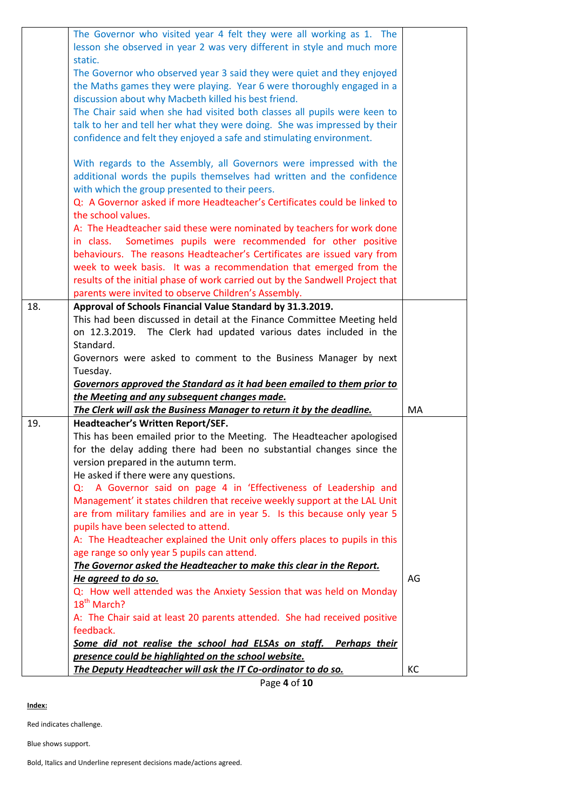|     | The Governor who visited year 4 felt they were all working as 1. The                                                    |    |
|-----|-------------------------------------------------------------------------------------------------------------------------|----|
|     | lesson she observed in year 2 was very different in style and much more                                                 |    |
|     | static.<br>The Governor who observed year 3 said they were quiet and they enjoyed                                       |    |
|     | the Maths games they were playing. Year 6 were thoroughly engaged in a                                                  |    |
|     | discussion about why Macbeth killed his best friend.                                                                    |    |
|     | The Chair said when she had visited both classes all pupils were keen to                                                |    |
|     | talk to her and tell her what they were doing. She was impressed by their                                               |    |
|     | confidence and felt they enjoyed a safe and stimulating environment.                                                    |    |
|     |                                                                                                                         |    |
|     | With regards to the Assembly, all Governors were impressed with the                                                     |    |
|     | additional words the pupils themselves had written and the confidence                                                   |    |
|     | with which the group presented to their peers.                                                                          |    |
|     | Q: A Governor asked if more Headteacher's Certificates could be linked to                                               |    |
|     | the school values.                                                                                                      |    |
|     | A: The Headteacher said these were nominated by teachers for work done                                                  |    |
|     | Sometimes pupils were recommended for other positive<br>in class.                                                       |    |
|     | behaviours. The reasons Headteacher's Certificates are issued vary from                                                 |    |
|     | week to week basis. It was a recommendation that emerged from the                                                       |    |
|     | results of the initial phase of work carried out by the Sandwell Project that                                           |    |
|     | parents were invited to observe Children's Assembly.                                                                    |    |
| 18. | Approval of Schools Financial Value Standard by 31.3.2019.                                                              |    |
|     | This had been discussed in detail at the Finance Committee Meeting held                                                 |    |
|     | The Clerk had updated various dates included in the<br>on 12.3.2019.                                                    |    |
|     | Standard.                                                                                                               |    |
|     | Governors were asked to comment to the Business Manager by next                                                         |    |
|     | Tuesday.                                                                                                                |    |
|     | Governors approved the Standard as it had been emailed to them prior to<br>the Meeting and any subsequent changes made. |    |
|     | The Clerk will ask the Business Manager to return it by the deadline.                                                   | MA |
| 19. | Headteacher's Written Report/SEF.                                                                                       |    |
|     | This has been emailed prior to the Meeting. The Headteacher apologised                                                  |    |
|     | for the delay adding there had been no substantial changes since the                                                    |    |
|     | version prepared in the autumn term.                                                                                    |    |
|     | He asked if there were any questions.                                                                                   |    |
|     | Q: A Governor said on page 4 in 'Effectiveness of Leadership and                                                        |    |
|     | Management' it states children that receive weekly support at the LAL Unit                                              |    |
|     | are from military families and are in year 5. Is this because only year 5                                               |    |
|     | pupils have been selected to attend.                                                                                    |    |
|     | A: The Headteacher explained the Unit only offers places to pupils in this                                              |    |
|     | age range so only year 5 pupils can attend.                                                                             |    |
|     | The Governor asked the Headteacher to make this clear in the Report.                                                    |    |
|     | He agreed to do so.                                                                                                     | AG |
|     | Q: How well attended was the Anxiety Session that was held on Monday<br>18 <sup>th</sup> March?                         |    |
|     | A: The Chair said at least 20 parents attended. She had received positive                                               |    |
|     | feedback.                                                                                                               |    |
|     | Some did not realise the school had ELSAs on staff. Perhaps their                                                       |    |
|     | presence could be highlighted on the school website.                                                                    |    |
|     | The Deputy Headteacher will ask the IT Co-ordinator to do so.                                                           | КC |

Page **4** of **10**

**Index:**

Red indicates challenge.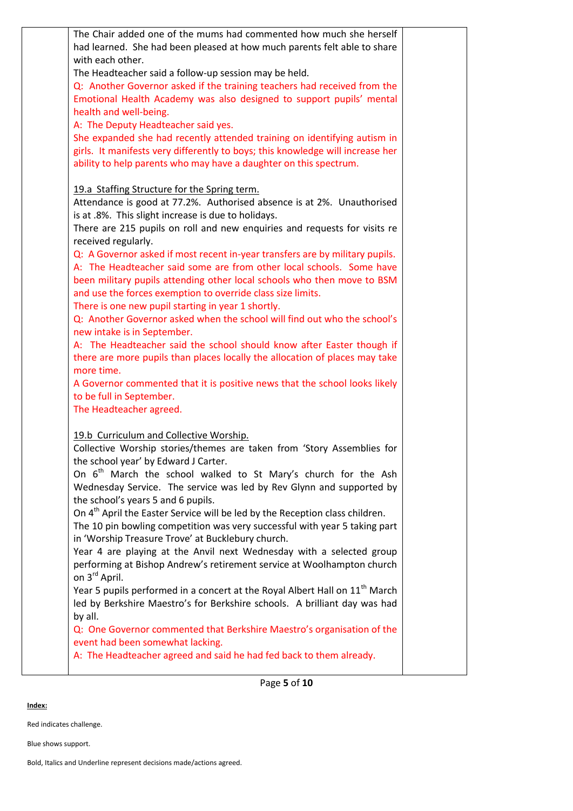| The Chair added one of the mums had commented how much she herself<br>had learned. She had been pleased at how much parents felt able to share<br>with each other.<br>The Headteacher said a follow-up session may be held.<br>Q: Another Governor asked if the training teachers had received from the<br>Emotional Health Academy was also designed to support pupils' mental<br>health and well-being.<br>A: The Deputy Headteacher said yes.<br>She expanded she had recently attended training on identifying autism in<br>girls. It manifests very differently to boys; this knowledge will increase her<br>ability to help parents who may have a daughter on this spectrum.<br>19.a Staffing Structure for the Spring term.<br>Attendance is good at 77.2%. Authorised absence is at 2%. Unauthorised<br>is at .8%. This slight increase is due to holidays.<br>There are 215 pupils on roll and new enquiries and requests for visits re<br>received regularly.<br>Q: A Governor asked if most recent in-year transfers are by military pupils.<br>A: The Headteacher said some are from other local schools. Some have<br>been military pupils attending other local schools who then move to BSM<br>and use the forces exemption to override class size limits.<br>There is one new pupil starting in year 1 shortly.<br>Q: Another Governor asked when the school will find out who the school's<br>new intake is in September.<br>A: The Headteacher said the school should know after Easter though if<br>there are more pupils than places locally the allocation of places may take<br>more time.<br>A Governor commented that it is positive news that the school looks likely<br>to be full in September.<br>The Headteacher agreed.<br>19.b Curriculum and Collective Worship.<br>Collective Worship stories/themes are taken from 'Story Assemblies for<br>the school year' by Edward J Carter.<br>On $6^{th}$ March the school walked to St Mary's church for the Ash<br>Wednesday Service. The service was led by Rev Glynn and supported by<br>the school's years 5 and 6 pupils.<br>On 4 <sup>th</sup> April the Easter Service will be led by the Reception class children.<br>The 10 pin bowling competition was very successful with year 5 taking part<br>in 'Worship Treasure Trove' at Bucklebury church.<br>Year 4 are playing at the Anvil next Wednesday with a selected group<br>performing at Bishop Andrew's retirement service at Woolhampton church<br>on 3 <sup>rd</sup> April.<br>Year 5 pupils performed in a concert at the Royal Albert Hall on 11 <sup>th</sup> March<br>led by Berkshire Maestro's for Berkshire schools. A brilliant day was had<br>by all.<br>Q: One Governor commented that Berkshire Maestro's organisation of the<br>event had been somewhat lacking.<br>A: The Headteacher agreed and said he had fed back to them already. |  |  |
|------------------------------------------------------------------------------------------------------------------------------------------------------------------------------------------------------------------------------------------------------------------------------------------------------------------------------------------------------------------------------------------------------------------------------------------------------------------------------------------------------------------------------------------------------------------------------------------------------------------------------------------------------------------------------------------------------------------------------------------------------------------------------------------------------------------------------------------------------------------------------------------------------------------------------------------------------------------------------------------------------------------------------------------------------------------------------------------------------------------------------------------------------------------------------------------------------------------------------------------------------------------------------------------------------------------------------------------------------------------------------------------------------------------------------------------------------------------------------------------------------------------------------------------------------------------------------------------------------------------------------------------------------------------------------------------------------------------------------------------------------------------------------------------------------------------------------------------------------------------------------------------------------------------------------------------------------------------------------------------------------------------------------------------------------------------------------------------------------------------------------------------------------------------------------------------------------------------------------------------------------------------------------------------------------------------------------------------------------------------------------------------------------------------------------------------------------------------------------------------------------------------------------------------------------------------------------------------------------------------------------------------------------------------------------------------------------------------------------------------------------------------------------------------------------------------------------------------------------------------------------------------------|--|--|
|                                                                                                                                                                                                                                                                                                                                                                                                                                                                                                                                                                                                                                                                                                                                                                                                                                                                                                                                                                                                                                                                                                                                                                                                                                                                                                                                                                                                                                                                                                                                                                                                                                                                                                                                                                                                                                                                                                                                                                                                                                                                                                                                                                                                                                                                                                                                                                                                                                                                                                                                                                                                                                                                                                                                                                                                                                                                                                |  |  |
|                                                                                                                                                                                                                                                                                                                                                                                                                                                                                                                                                                                                                                                                                                                                                                                                                                                                                                                                                                                                                                                                                                                                                                                                                                                                                                                                                                                                                                                                                                                                                                                                                                                                                                                                                                                                                                                                                                                                                                                                                                                                                                                                                                                                                                                                                                                                                                                                                                                                                                                                                                                                                                                                                                                                                                                                                                                                                                |  |  |
|                                                                                                                                                                                                                                                                                                                                                                                                                                                                                                                                                                                                                                                                                                                                                                                                                                                                                                                                                                                                                                                                                                                                                                                                                                                                                                                                                                                                                                                                                                                                                                                                                                                                                                                                                                                                                                                                                                                                                                                                                                                                                                                                                                                                                                                                                                                                                                                                                                                                                                                                                                                                                                                                                                                                                                                                                                                                                                |  |  |
|                                                                                                                                                                                                                                                                                                                                                                                                                                                                                                                                                                                                                                                                                                                                                                                                                                                                                                                                                                                                                                                                                                                                                                                                                                                                                                                                                                                                                                                                                                                                                                                                                                                                                                                                                                                                                                                                                                                                                                                                                                                                                                                                                                                                                                                                                                                                                                                                                                                                                                                                                                                                                                                                                                                                                                                                                                                                                                |  |  |
|                                                                                                                                                                                                                                                                                                                                                                                                                                                                                                                                                                                                                                                                                                                                                                                                                                                                                                                                                                                                                                                                                                                                                                                                                                                                                                                                                                                                                                                                                                                                                                                                                                                                                                                                                                                                                                                                                                                                                                                                                                                                                                                                                                                                                                                                                                                                                                                                                                                                                                                                                                                                                                                                                                                                                                                                                                                                                                |  |  |
|                                                                                                                                                                                                                                                                                                                                                                                                                                                                                                                                                                                                                                                                                                                                                                                                                                                                                                                                                                                                                                                                                                                                                                                                                                                                                                                                                                                                                                                                                                                                                                                                                                                                                                                                                                                                                                                                                                                                                                                                                                                                                                                                                                                                                                                                                                                                                                                                                                                                                                                                                                                                                                                                                                                                                                                                                                                                                                |  |  |
|                                                                                                                                                                                                                                                                                                                                                                                                                                                                                                                                                                                                                                                                                                                                                                                                                                                                                                                                                                                                                                                                                                                                                                                                                                                                                                                                                                                                                                                                                                                                                                                                                                                                                                                                                                                                                                                                                                                                                                                                                                                                                                                                                                                                                                                                                                                                                                                                                                                                                                                                                                                                                                                                                                                                                                                                                                                                                                |  |  |
|                                                                                                                                                                                                                                                                                                                                                                                                                                                                                                                                                                                                                                                                                                                                                                                                                                                                                                                                                                                                                                                                                                                                                                                                                                                                                                                                                                                                                                                                                                                                                                                                                                                                                                                                                                                                                                                                                                                                                                                                                                                                                                                                                                                                                                                                                                                                                                                                                                                                                                                                                                                                                                                                                                                                                                                                                                                                                                |  |  |
|                                                                                                                                                                                                                                                                                                                                                                                                                                                                                                                                                                                                                                                                                                                                                                                                                                                                                                                                                                                                                                                                                                                                                                                                                                                                                                                                                                                                                                                                                                                                                                                                                                                                                                                                                                                                                                                                                                                                                                                                                                                                                                                                                                                                                                                                                                                                                                                                                                                                                                                                                                                                                                                                                                                                                                                                                                                                                                |  |  |
|                                                                                                                                                                                                                                                                                                                                                                                                                                                                                                                                                                                                                                                                                                                                                                                                                                                                                                                                                                                                                                                                                                                                                                                                                                                                                                                                                                                                                                                                                                                                                                                                                                                                                                                                                                                                                                                                                                                                                                                                                                                                                                                                                                                                                                                                                                                                                                                                                                                                                                                                                                                                                                                                                                                                                                                                                                                                                                |  |  |
|                                                                                                                                                                                                                                                                                                                                                                                                                                                                                                                                                                                                                                                                                                                                                                                                                                                                                                                                                                                                                                                                                                                                                                                                                                                                                                                                                                                                                                                                                                                                                                                                                                                                                                                                                                                                                                                                                                                                                                                                                                                                                                                                                                                                                                                                                                                                                                                                                                                                                                                                                                                                                                                                                                                                                                                                                                                                                                |  |  |
|                                                                                                                                                                                                                                                                                                                                                                                                                                                                                                                                                                                                                                                                                                                                                                                                                                                                                                                                                                                                                                                                                                                                                                                                                                                                                                                                                                                                                                                                                                                                                                                                                                                                                                                                                                                                                                                                                                                                                                                                                                                                                                                                                                                                                                                                                                                                                                                                                                                                                                                                                                                                                                                                                                                                                                                                                                                                                                |  |  |
|                                                                                                                                                                                                                                                                                                                                                                                                                                                                                                                                                                                                                                                                                                                                                                                                                                                                                                                                                                                                                                                                                                                                                                                                                                                                                                                                                                                                                                                                                                                                                                                                                                                                                                                                                                                                                                                                                                                                                                                                                                                                                                                                                                                                                                                                                                                                                                                                                                                                                                                                                                                                                                                                                                                                                                                                                                                                                                |  |  |
|                                                                                                                                                                                                                                                                                                                                                                                                                                                                                                                                                                                                                                                                                                                                                                                                                                                                                                                                                                                                                                                                                                                                                                                                                                                                                                                                                                                                                                                                                                                                                                                                                                                                                                                                                                                                                                                                                                                                                                                                                                                                                                                                                                                                                                                                                                                                                                                                                                                                                                                                                                                                                                                                                                                                                                                                                                                                                                |  |  |
|                                                                                                                                                                                                                                                                                                                                                                                                                                                                                                                                                                                                                                                                                                                                                                                                                                                                                                                                                                                                                                                                                                                                                                                                                                                                                                                                                                                                                                                                                                                                                                                                                                                                                                                                                                                                                                                                                                                                                                                                                                                                                                                                                                                                                                                                                                                                                                                                                                                                                                                                                                                                                                                                                                                                                                                                                                                                                                |  |  |
|                                                                                                                                                                                                                                                                                                                                                                                                                                                                                                                                                                                                                                                                                                                                                                                                                                                                                                                                                                                                                                                                                                                                                                                                                                                                                                                                                                                                                                                                                                                                                                                                                                                                                                                                                                                                                                                                                                                                                                                                                                                                                                                                                                                                                                                                                                                                                                                                                                                                                                                                                                                                                                                                                                                                                                                                                                                                                                |  |  |
|                                                                                                                                                                                                                                                                                                                                                                                                                                                                                                                                                                                                                                                                                                                                                                                                                                                                                                                                                                                                                                                                                                                                                                                                                                                                                                                                                                                                                                                                                                                                                                                                                                                                                                                                                                                                                                                                                                                                                                                                                                                                                                                                                                                                                                                                                                                                                                                                                                                                                                                                                                                                                                                                                                                                                                                                                                                                                                |  |  |
|                                                                                                                                                                                                                                                                                                                                                                                                                                                                                                                                                                                                                                                                                                                                                                                                                                                                                                                                                                                                                                                                                                                                                                                                                                                                                                                                                                                                                                                                                                                                                                                                                                                                                                                                                                                                                                                                                                                                                                                                                                                                                                                                                                                                                                                                                                                                                                                                                                                                                                                                                                                                                                                                                                                                                                                                                                                                                                |  |  |
|                                                                                                                                                                                                                                                                                                                                                                                                                                                                                                                                                                                                                                                                                                                                                                                                                                                                                                                                                                                                                                                                                                                                                                                                                                                                                                                                                                                                                                                                                                                                                                                                                                                                                                                                                                                                                                                                                                                                                                                                                                                                                                                                                                                                                                                                                                                                                                                                                                                                                                                                                                                                                                                                                                                                                                                                                                                                                                |  |  |
|                                                                                                                                                                                                                                                                                                                                                                                                                                                                                                                                                                                                                                                                                                                                                                                                                                                                                                                                                                                                                                                                                                                                                                                                                                                                                                                                                                                                                                                                                                                                                                                                                                                                                                                                                                                                                                                                                                                                                                                                                                                                                                                                                                                                                                                                                                                                                                                                                                                                                                                                                                                                                                                                                                                                                                                                                                                                                                |  |  |
|                                                                                                                                                                                                                                                                                                                                                                                                                                                                                                                                                                                                                                                                                                                                                                                                                                                                                                                                                                                                                                                                                                                                                                                                                                                                                                                                                                                                                                                                                                                                                                                                                                                                                                                                                                                                                                                                                                                                                                                                                                                                                                                                                                                                                                                                                                                                                                                                                                                                                                                                                                                                                                                                                                                                                                                                                                                                                                |  |  |
|                                                                                                                                                                                                                                                                                                                                                                                                                                                                                                                                                                                                                                                                                                                                                                                                                                                                                                                                                                                                                                                                                                                                                                                                                                                                                                                                                                                                                                                                                                                                                                                                                                                                                                                                                                                                                                                                                                                                                                                                                                                                                                                                                                                                                                                                                                                                                                                                                                                                                                                                                                                                                                                                                                                                                                                                                                                                                                |  |  |
|                                                                                                                                                                                                                                                                                                                                                                                                                                                                                                                                                                                                                                                                                                                                                                                                                                                                                                                                                                                                                                                                                                                                                                                                                                                                                                                                                                                                                                                                                                                                                                                                                                                                                                                                                                                                                                                                                                                                                                                                                                                                                                                                                                                                                                                                                                                                                                                                                                                                                                                                                                                                                                                                                                                                                                                                                                                                                                |  |  |
|                                                                                                                                                                                                                                                                                                                                                                                                                                                                                                                                                                                                                                                                                                                                                                                                                                                                                                                                                                                                                                                                                                                                                                                                                                                                                                                                                                                                                                                                                                                                                                                                                                                                                                                                                                                                                                                                                                                                                                                                                                                                                                                                                                                                                                                                                                                                                                                                                                                                                                                                                                                                                                                                                                                                                                                                                                                                                                |  |  |
|                                                                                                                                                                                                                                                                                                                                                                                                                                                                                                                                                                                                                                                                                                                                                                                                                                                                                                                                                                                                                                                                                                                                                                                                                                                                                                                                                                                                                                                                                                                                                                                                                                                                                                                                                                                                                                                                                                                                                                                                                                                                                                                                                                                                                                                                                                                                                                                                                                                                                                                                                                                                                                                                                                                                                                                                                                                                                                |  |  |
|                                                                                                                                                                                                                                                                                                                                                                                                                                                                                                                                                                                                                                                                                                                                                                                                                                                                                                                                                                                                                                                                                                                                                                                                                                                                                                                                                                                                                                                                                                                                                                                                                                                                                                                                                                                                                                                                                                                                                                                                                                                                                                                                                                                                                                                                                                                                                                                                                                                                                                                                                                                                                                                                                                                                                                                                                                                                                                |  |  |
|                                                                                                                                                                                                                                                                                                                                                                                                                                                                                                                                                                                                                                                                                                                                                                                                                                                                                                                                                                                                                                                                                                                                                                                                                                                                                                                                                                                                                                                                                                                                                                                                                                                                                                                                                                                                                                                                                                                                                                                                                                                                                                                                                                                                                                                                                                                                                                                                                                                                                                                                                                                                                                                                                                                                                                                                                                                                                                |  |  |
|                                                                                                                                                                                                                                                                                                                                                                                                                                                                                                                                                                                                                                                                                                                                                                                                                                                                                                                                                                                                                                                                                                                                                                                                                                                                                                                                                                                                                                                                                                                                                                                                                                                                                                                                                                                                                                                                                                                                                                                                                                                                                                                                                                                                                                                                                                                                                                                                                                                                                                                                                                                                                                                                                                                                                                                                                                                                                                |  |  |
|                                                                                                                                                                                                                                                                                                                                                                                                                                                                                                                                                                                                                                                                                                                                                                                                                                                                                                                                                                                                                                                                                                                                                                                                                                                                                                                                                                                                                                                                                                                                                                                                                                                                                                                                                                                                                                                                                                                                                                                                                                                                                                                                                                                                                                                                                                                                                                                                                                                                                                                                                                                                                                                                                                                                                                                                                                                                                                |  |  |
|                                                                                                                                                                                                                                                                                                                                                                                                                                                                                                                                                                                                                                                                                                                                                                                                                                                                                                                                                                                                                                                                                                                                                                                                                                                                                                                                                                                                                                                                                                                                                                                                                                                                                                                                                                                                                                                                                                                                                                                                                                                                                                                                                                                                                                                                                                                                                                                                                                                                                                                                                                                                                                                                                                                                                                                                                                                                                                |  |  |
|                                                                                                                                                                                                                                                                                                                                                                                                                                                                                                                                                                                                                                                                                                                                                                                                                                                                                                                                                                                                                                                                                                                                                                                                                                                                                                                                                                                                                                                                                                                                                                                                                                                                                                                                                                                                                                                                                                                                                                                                                                                                                                                                                                                                                                                                                                                                                                                                                                                                                                                                                                                                                                                                                                                                                                                                                                                                                                |  |  |
|                                                                                                                                                                                                                                                                                                                                                                                                                                                                                                                                                                                                                                                                                                                                                                                                                                                                                                                                                                                                                                                                                                                                                                                                                                                                                                                                                                                                                                                                                                                                                                                                                                                                                                                                                                                                                                                                                                                                                                                                                                                                                                                                                                                                                                                                                                                                                                                                                                                                                                                                                                                                                                                                                                                                                                                                                                                                                                |  |  |
|                                                                                                                                                                                                                                                                                                                                                                                                                                                                                                                                                                                                                                                                                                                                                                                                                                                                                                                                                                                                                                                                                                                                                                                                                                                                                                                                                                                                                                                                                                                                                                                                                                                                                                                                                                                                                                                                                                                                                                                                                                                                                                                                                                                                                                                                                                                                                                                                                                                                                                                                                                                                                                                                                                                                                                                                                                                                                                |  |  |
|                                                                                                                                                                                                                                                                                                                                                                                                                                                                                                                                                                                                                                                                                                                                                                                                                                                                                                                                                                                                                                                                                                                                                                                                                                                                                                                                                                                                                                                                                                                                                                                                                                                                                                                                                                                                                                                                                                                                                                                                                                                                                                                                                                                                                                                                                                                                                                                                                                                                                                                                                                                                                                                                                                                                                                                                                                                                                                |  |  |
|                                                                                                                                                                                                                                                                                                                                                                                                                                                                                                                                                                                                                                                                                                                                                                                                                                                                                                                                                                                                                                                                                                                                                                                                                                                                                                                                                                                                                                                                                                                                                                                                                                                                                                                                                                                                                                                                                                                                                                                                                                                                                                                                                                                                                                                                                                                                                                                                                                                                                                                                                                                                                                                                                                                                                                                                                                                                                                |  |  |
|                                                                                                                                                                                                                                                                                                                                                                                                                                                                                                                                                                                                                                                                                                                                                                                                                                                                                                                                                                                                                                                                                                                                                                                                                                                                                                                                                                                                                                                                                                                                                                                                                                                                                                                                                                                                                                                                                                                                                                                                                                                                                                                                                                                                                                                                                                                                                                                                                                                                                                                                                                                                                                                                                                                                                                                                                                                                                                |  |  |
|                                                                                                                                                                                                                                                                                                                                                                                                                                                                                                                                                                                                                                                                                                                                                                                                                                                                                                                                                                                                                                                                                                                                                                                                                                                                                                                                                                                                                                                                                                                                                                                                                                                                                                                                                                                                                                                                                                                                                                                                                                                                                                                                                                                                                                                                                                                                                                                                                                                                                                                                                                                                                                                                                                                                                                                                                                                                                                |  |  |
|                                                                                                                                                                                                                                                                                                                                                                                                                                                                                                                                                                                                                                                                                                                                                                                                                                                                                                                                                                                                                                                                                                                                                                                                                                                                                                                                                                                                                                                                                                                                                                                                                                                                                                                                                                                                                                                                                                                                                                                                                                                                                                                                                                                                                                                                                                                                                                                                                                                                                                                                                                                                                                                                                                                                                                                                                                                                                                |  |  |
|                                                                                                                                                                                                                                                                                                                                                                                                                                                                                                                                                                                                                                                                                                                                                                                                                                                                                                                                                                                                                                                                                                                                                                                                                                                                                                                                                                                                                                                                                                                                                                                                                                                                                                                                                                                                                                                                                                                                                                                                                                                                                                                                                                                                                                                                                                                                                                                                                                                                                                                                                                                                                                                                                                                                                                                                                                                                                                |  |  |
|                                                                                                                                                                                                                                                                                                                                                                                                                                                                                                                                                                                                                                                                                                                                                                                                                                                                                                                                                                                                                                                                                                                                                                                                                                                                                                                                                                                                                                                                                                                                                                                                                                                                                                                                                                                                                                                                                                                                                                                                                                                                                                                                                                                                                                                                                                                                                                                                                                                                                                                                                                                                                                                                                                                                                                                                                                                                                                |  |  |
|                                                                                                                                                                                                                                                                                                                                                                                                                                                                                                                                                                                                                                                                                                                                                                                                                                                                                                                                                                                                                                                                                                                                                                                                                                                                                                                                                                                                                                                                                                                                                                                                                                                                                                                                                                                                                                                                                                                                                                                                                                                                                                                                                                                                                                                                                                                                                                                                                                                                                                                                                                                                                                                                                                                                                                                                                                                                                                |  |  |
|                                                                                                                                                                                                                                                                                                                                                                                                                                                                                                                                                                                                                                                                                                                                                                                                                                                                                                                                                                                                                                                                                                                                                                                                                                                                                                                                                                                                                                                                                                                                                                                                                                                                                                                                                                                                                                                                                                                                                                                                                                                                                                                                                                                                                                                                                                                                                                                                                                                                                                                                                                                                                                                                                                                                                                                                                                                                                                |  |  |
|                                                                                                                                                                                                                                                                                                                                                                                                                                                                                                                                                                                                                                                                                                                                                                                                                                                                                                                                                                                                                                                                                                                                                                                                                                                                                                                                                                                                                                                                                                                                                                                                                                                                                                                                                                                                                                                                                                                                                                                                                                                                                                                                                                                                                                                                                                                                                                                                                                                                                                                                                                                                                                                                                                                                                                                                                                                                                                |  |  |
|                                                                                                                                                                                                                                                                                                                                                                                                                                                                                                                                                                                                                                                                                                                                                                                                                                                                                                                                                                                                                                                                                                                                                                                                                                                                                                                                                                                                                                                                                                                                                                                                                                                                                                                                                                                                                                                                                                                                                                                                                                                                                                                                                                                                                                                                                                                                                                                                                                                                                                                                                                                                                                                                                                                                                                                                                                                                                                |  |  |
|                                                                                                                                                                                                                                                                                                                                                                                                                                                                                                                                                                                                                                                                                                                                                                                                                                                                                                                                                                                                                                                                                                                                                                                                                                                                                                                                                                                                                                                                                                                                                                                                                                                                                                                                                                                                                                                                                                                                                                                                                                                                                                                                                                                                                                                                                                                                                                                                                                                                                                                                                                                                                                                                                                                                                                                                                                                                                                |  |  |
|                                                                                                                                                                                                                                                                                                                                                                                                                                                                                                                                                                                                                                                                                                                                                                                                                                                                                                                                                                                                                                                                                                                                                                                                                                                                                                                                                                                                                                                                                                                                                                                                                                                                                                                                                                                                                                                                                                                                                                                                                                                                                                                                                                                                                                                                                                                                                                                                                                                                                                                                                                                                                                                                                                                                                                                                                                                                                                |  |  |
|                                                                                                                                                                                                                                                                                                                                                                                                                                                                                                                                                                                                                                                                                                                                                                                                                                                                                                                                                                                                                                                                                                                                                                                                                                                                                                                                                                                                                                                                                                                                                                                                                                                                                                                                                                                                                                                                                                                                                                                                                                                                                                                                                                                                                                                                                                                                                                                                                                                                                                                                                                                                                                                                                                                                                                                                                                                                                                |  |  |
|                                                                                                                                                                                                                                                                                                                                                                                                                                                                                                                                                                                                                                                                                                                                                                                                                                                                                                                                                                                                                                                                                                                                                                                                                                                                                                                                                                                                                                                                                                                                                                                                                                                                                                                                                                                                                                                                                                                                                                                                                                                                                                                                                                                                                                                                                                                                                                                                                                                                                                                                                                                                                                                                                                                                                                                                                                                                                                |  |  |
|                                                                                                                                                                                                                                                                                                                                                                                                                                                                                                                                                                                                                                                                                                                                                                                                                                                                                                                                                                                                                                                                                                                                                                                                                                                                                                                                                                                                                                                                                                                                                                                                                                                                                                                                                                                                                                                                                                                                                                                                                                                                                                                                                                                                                                                                                                                                                                                                                                                                                                                                                                                                                                                                                                                                                                                                                                                                                                |  |  |
|                                                                                                                                                                                                                                                                                                                                                                                                                                                                                                                                                                                                                                                                                                                                                                                                                                                                                                                                                                                                                                                                                                                                                                                                                                                                                                                                                                                                                                                                                                                                                                                                                                                                                                                                                                                                                                                                                                                                                                                                                                                                                                                                                                                                                                                                                                                                                                                                                                                                                                                                                                                                                                                                                                                                                                                                                                                                                                |  |  |

Page **5** of **10**

**Index:**

Red indicates challenge.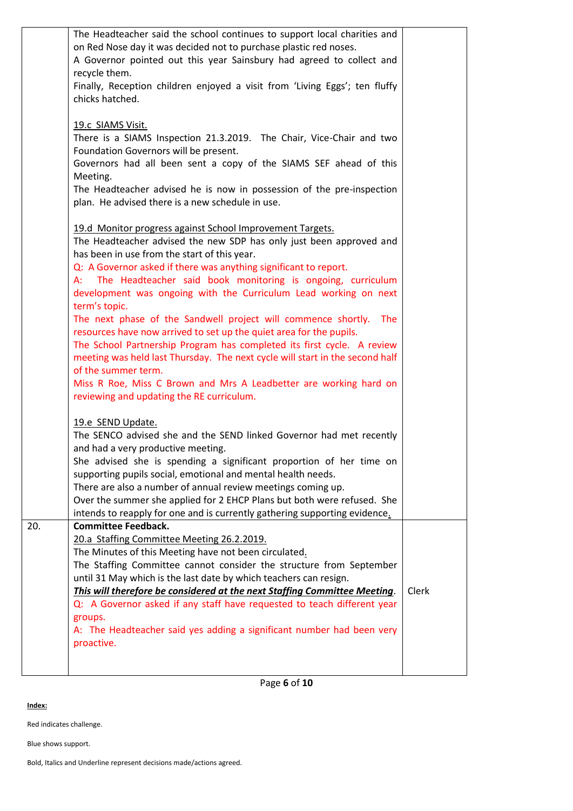|     | The Headteacher said the school continues to support local charities and     |       |
|-----|------------------------------------------------------------------------------|-------|
|     | on Red Nose day it was decided not to purchase plastic red noses.            |       |
|     | A Governor pointed out this year Sainsbury had agreed to collect and         |       |
|     |                                                                              |       |
|     | recycle them.                                                                |       |
|     | Finally, Reception children enjoyed a visit from 'Living Eggs'; ten fluffy   |       |
|     | chicks hatched.                                                              |       |
|     |                                                                              |       |
|     | 19.c SIAMS Visit.                                                            |       |
|     | There is a SIAMS Inspection 21.3.2019. The Chair, Vice-Chair and two         |       |
|     | Foundation Governors will be present.                                        |       |
|     | Governors had all been sent a copy of the SIAMS SEF ahead of this            |       |
|     | Meeting.                                                                     |       |
|     | The Headteacher advised he is now in possession of the pre-inspection        |       |
|     | plan. He advised there is a new schedule in use.                             |       |
|     |                                                                              |       |
|     | 19.d Monitor progress against School Improvement Targets.                    |       |
|     | The Headteacher advised the new SDP has only just been approved and          |       |
|     | has been in use from the start of this year.                                 |       |
|     | Q: A Governor asked if there was anything significant to report.             |       |
|     | A: The Headteacher said book monitoring is ongoing, curriculum               |       |
|     |                                                                              |       |
|     | development was ongoing with the Curriculum Lead working on next             |       |
|     | term's topic.                                                                |       |
|     | The next phase of the Sandwell project will commence shortly.<br><b>The</b>  |       |
|     | resources have now arrived to set up the quiet area for the pupils.          |       |
|     | The School Partnership Program has completed its first cycle. A review       |       |
|     | meeting was held last Thursday. The next cycle will start in the second half |       |
|     | of the summer term.                                                          |       |
|     | Miss R Roe, Miss C Brown and Mrs A Leadbetter are working hard on            |       |
|     | reviewing and updating the RE curriculum.                                    |       |
|     |                                                                              |       |
|     | 19.e SEND Update.                                                            |       |
|     | The SENCO advised she and the SEND linked Governor had met recently          |       |
|     | and had a very productive meeting.                                           |       |
|     | She advised she is spending a significant proportion of her time on          |       |
|     | supporting pupils social, emotional and mental health needs.                 |       |
|     | There are also a number of annual review meetings coming up.                 |       |
|     | Over the summer she applied for 2 EHCP Plans but both were refused. She      |       |
|     | intends to reapply for one and is currently gathering supporting evidence.   |       |
| 20. | <b>Committee Feedback.</b>                                                   |       |
|     | 20.a Staffing Committee Meeting 26.2.2019.                                   |       |
|     | The Minutes of this Meeting have not been circulated.                        |       |
|     |                                                                              |       |
|     | The Staffing Committee cannot consider the structure from September          |       |
|     | until 31 May which is the last date by which teachers can resign.            |       |
|     | This will therefore be considered at the next Staffing Committee Meeting.    | Clerk |
|     | Q: A Governor asked if any staff have requested to teach different year      |       |
|     | groups.                                                                      |       |
|     | A: The Headteacher said yes adding a significant number had been very        |       |
|     | proactive.                                                                   |       |
|     |                                                                              |       |
|     |                                                                              |       |

Page **6** of **10**

**Index:**

Red indicates challenge.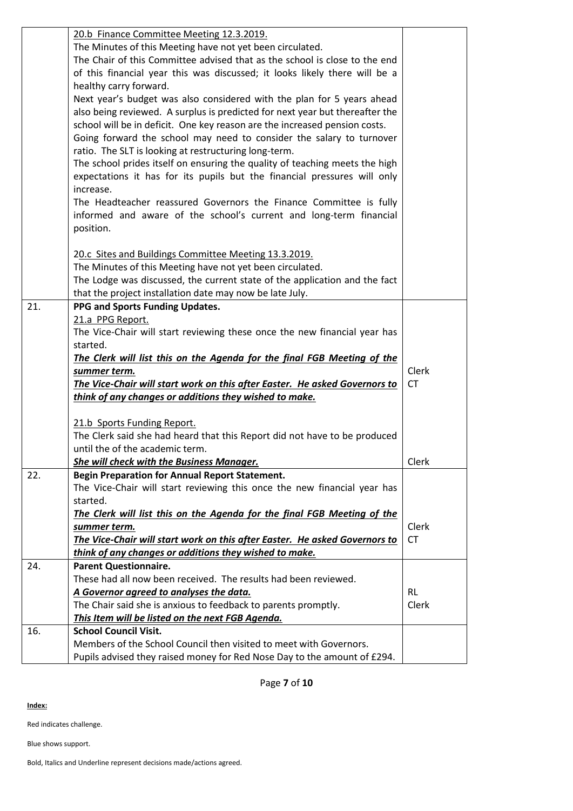|     | 20.b Finance Committee Meeting 12.3.2019.                                                                                                      |             |
|-----|------------------------------------------------------------------------------------------------------------------------------------------------|-------------|
|     | The Minutes of this Meeting have not yet been circulated.                                                                                      |             |
|     | The Chair of this Committee advised that as the school is close to the end                                                                     |             |
|     | of this financial year this was discussed; it looks likely there will be a                                                                     |             |
|     | healthy carry forward.                                                                                                                         |             |
|     | Next year's budget was also considered with the plan for 5 years ahead                                                                         |             |
|     | also being reviewed. A surplus is predicted for next year but thereafter the                                                                   |             |
|     | school will be in deficit. One key reason are the increased pension costs.                                                                     |             |
|     | Going forward the school may need to consider the salary to turnover                                                                           |             |
|     | ratio. The SLT is looking at restructuring long-term.                                                                                          |             |
|     | The school prides itself on ensuring the quality of teaching meets the high                                                                    |             |
|     | expectations it has for its pupils but the financial pressures will only                                                                       |             |
|     | increase.                                                                                                                                      |             |
|     | The Headteacher reassured Governors the Finance Committee is fully                                                                             |             |
|     | informed and aware of the school's current and long-term financial                                                                             |             |
|     | position.                                                                                                                                      |             |
|     | 20.c Sites and Buildings Committee Meeting 13.3.2019.                                                                                          |             |
|     | The Minutes of this Meeting have not yet been circulated.                                                                                      |             |
|     | The Lodge was discussed, the current state of the application and the fact                                                                     |             |
|     | that the project installation date may now be late July.                                                                                       |             |
| 21. | PPG and Sports Funding Updates.                                                                                                                |             |
|     | 21.a PPG Report.                                                                                                                               |             |
|     | The Vice-Chair will start reviewing these once the new financial year has                                                                      |             |
|     | started.                                                                                                                                       |             |
|     | The Clerk will list this on the Agenda for the final FGB Meeting of the                                                                        |             |
|     | summer term.                                                                                                                                   | Clerk       |
|     | The Vice-Chair will start work on this after Easter. He asked Governors to                                                                     | <b>CT</b>   |
|     | think of any changes or additions they wished to make.                                                                                         |             |
|     |                                                                                                                                                |             |
|     |                                                                                                                                                |             |
|     | 21.b Sports Funding Report.                                                                                                                    |             |
|     | The Clerk said she had heard that this Report did not have to be produced                                                                      |             |
|     | until the of the academic term.                                                                                                                |             |
|     | She will check with the Business Manager.                                                                                                      | Clerk       |
| 22. | <b>Begin Preparation for Annual Report Statement.</b>                                                                                          |             |
|     | The Vice-Chair will start reviewing this once the new financial year has                                                                       |             |
|     | started.                                                                                                                                       |             |
|     | The Clerk will list this on the Agenda for the final FGB Meeting of the                                                                        |             |
|     | summer term.<br>The Vice-Chair will start work on this after Easter. He asked Governors to                                                     | Clerk<br>СT |
|     | think of any changes or additions they wished to make.                                                                                         |             |
| 24. | <b>Parent Questionnaire.</b>                                                                                                                   |             |
|     | These had all now been received. The results had been reviewed.                                                                                |             |
|     | A Governor agreed to analyses the data.                                                                                                        | <b>RL</b>   |
|     | The Chair said she is anxious to feedback to parents promptly.                                                                                 | Clerk       |
|     | This Item will be listed on the next FGB Agenda.                                                                                               |             |
| 16. | <b>School Council Visit.</b>                                                                                                                   |             |
|     | Members of the School Council then visited to meet with Governors.<br>Pupils advised they raised money for Red Nose Day to the amount of £294. |             |

Page **7** of **10**

**Index:**

Red indicates challenge.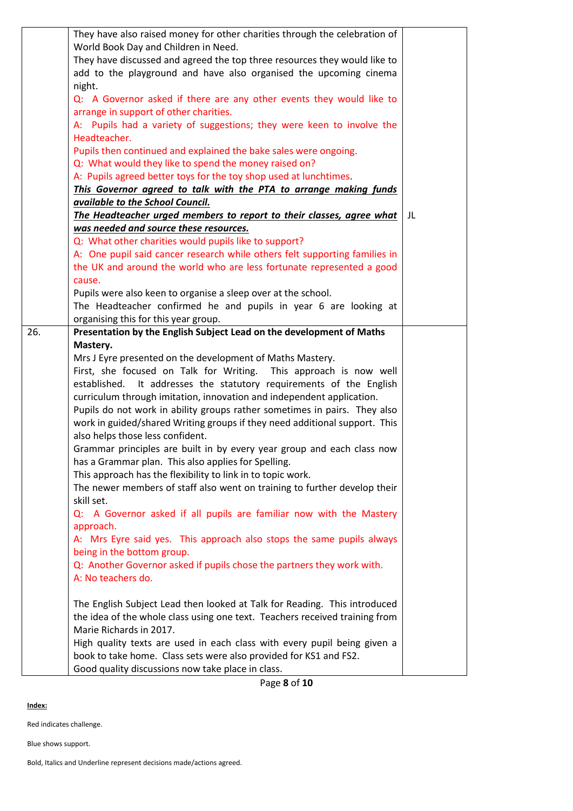|     | They have also raised money for other charities through the celebration of<br>World Book Day and Children in Need. |    |
|-----|--------------------------------------------------------------------------------------------------------------------|----|
|     | They have discussed and agreed the top three resources they would like to                                          |    |
|     | add to the playground and have also organised the upcoming cinema                                                  |    |
|     | night.                                                                                                             |    |
|     | Q: A Governor asked if there are any other events they would like to                                               |    |
|     | arrange in support of other charities.                                                                             |    |
|     | A: Pupils had a variety of suggestions; they were keen to involve the                                              |    |
|     | Headteacher.                                                                                                       |    |
|     | Pupils then continued and explained the bake sales were ongoing.                                                   |    |
|     | Q: What would they like to spend the money raised on?                                                              |    |
|     | A: Pupils agreed better toys for the toy shop used at lunchtimes.                                                  |    |
|     | This Governor agreed to talk with the PTA to arrange making funds                                                  |    |
|     | available to the School Council.                                                                                   |    |
|     | The Headteacher urged members to report to their classes, agree what                                               | JL |
|     | was needed and source these resources.                                                                             |    |
|     | Q: What other charities would pupils like to support?                                                              |    |
|     | A: One pupil said cancer research while others felt supporting families in                                         |    |
|     | the UK and around the world who are less fortunate represented a good                                              |    |
|     | cause.                                                                                                             |    |
|     | Pupils were also keen to organise a sleep over at the school.                                                      |    |
|     | The Headteacher confirmed he and pupils in year 6 are looking at                                                   |    |
|     | organising this for this year group.                                                                               |    |
| 26. | Presentation by the English Subject Lead on the development of Maths                                               |    |
|     | Mastery.                                                                                                           |    |
|     | Mrs J Eyre presented on the development of Maths Mastery.                                                          |    |
|     | First, she focused on Talk for Writing. This approach is now well                                                  |    |
|     | established. It addresses the statutory requirements of the English                                                |    |
|     | curriculum through imitation, innovation and independent application.                                              |    |
|     | Pupils do not work in ability groups rather sometimes in pairs. They also                                          |    |
|     | work in guided/shared Writing groups if they need additional support. This                                         |    |
|     | also helps those less confident.                                                                                   |    |
|     | Grammar principles are built in by every year group and each class now                                             |    |
|     | has a Grammar plan. This also applies for Spelling.                                                                |    |
|     | This approach has the flexibility to link in to topic work.                                                        |    |
|     | The newer members of staff also went on training to further develop their                                          |    |
|     | skill set.                                                                                                         |    |
|     | Q: A Governor asked if all pupils are familiar now with the Mastery                                                |    |
|     | approach.                                                                                                          |    |
|     | A: Mrs Eyre said yes. This approach also stops the same pupils always                                              |    |
|     | being in the bottom group.                                                                                         |    |
|     | Q: Another Governor asked if pupils chose the partners they work with.<br>A: No teachers do.                       |    |
|     |                                                                                                                    |    |
|     | The English Subject Lead then looked at Talk for Reading. This introduced                                          |    |
|     |                                                                                                                    |    |
|     | the idea of the whole class using one text. Teachers received training from<br>Marie Richards in 2017.             |    |
|     | High quality texts are used in each class with every pupil being given a                                           |    |
|     | book to take home. Class sets were also provided for KS1 and FS2.                                                  |    |
|     | Good quality discussions now take place in class.                                                                  |    |
|     |                                                                                                                    |    |

Page **8** of **10**

**Index:**

Red indicates challenge.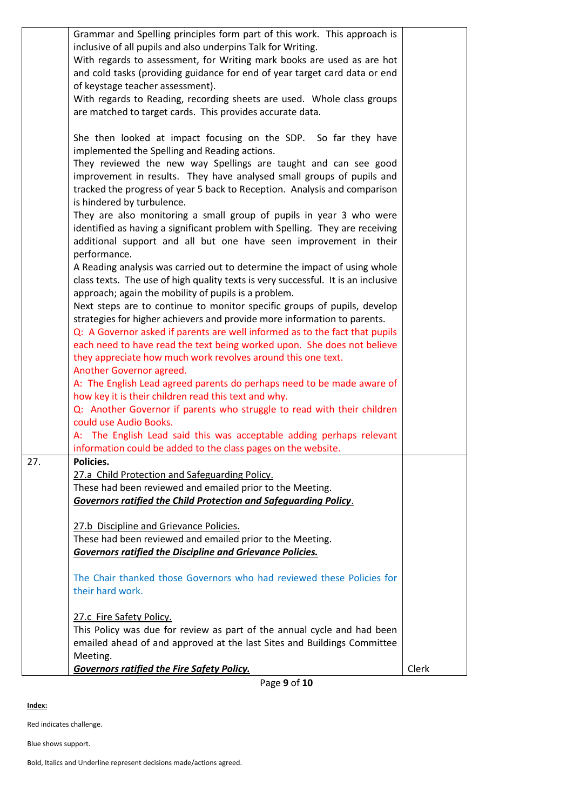| Grammar and Spelling principles form part of this work. This approach is          |       |
|-----------------------------------------------------------------------------------|-------|
| inclusive of all pupils and also underpins Talk for Writing.                      |       |
| With regards to assessment, for Writing mark books are used as are hot            |       |
| and cold tasks (providing guidance for end of year target card data or end        |       |
| of keystage teacher assessment).                                                  |       |
| With regards to Reading, recording sheets are used. Whole class groups            |       |
| are matched to target cards. This provides accurate data.                         |       |
|                                                                                   |       |
| She then looked at impact focusing on the SDP. So far they have                   |       |
| implemented the Spelling and Reading actions.                                     |       |
| They reviewed the new way Spellings are taught and can see good                   |       |
| improvement in results. They have analysed small groups of pupils and             |       |
| tracked the progress of year 5 back to Reception. Analysis and comparison         |       |
| is hindered by turbulence.                                                        |       |
| They are also monitoring a small group of pupils in year 3 who were               |       |
| identified as having a significant problem with Spelling. They are receiving      |       |
| additional support and all but one have seen improvement in their                 |       |
| performance.                                                                      |       |
| A Reading analysis was carried out to determine the impact of using whole         |       |
| class texts. The use of high quality texts is very successful. It is an inclusive |       |
| approach; again the mobility of pupils is a problem.                              |       |
| Next steps are to continue to monitor specific groups of pupils, develop          |       |
| strategies for higher achievers and provide more information to parents.          |       |
| Q: A Governor asked if parents are well informed as to the fact that pupils       |       |
| each need to have read the text being worked upon. She does not believe           |       |
| they appreciate how much work revolves around this one text.                      |       |
| Another Governor agreed.                                                          |       |
| A: The English Lead agreed parents do perhaps need to be made aware of            |       |
| how key it is their children read this text and why.                              |       |
| Q: Another Governor if parents who struggle to read with their children           |       |
| could use Audio Books.                                                            |       |
| A: The English Lead said this was acceptable adding perhaps relevant              |       |
| information could be added to the class pages on the website.                     |       |
| Policies.<br>27.                                                                  |       |
| 27.a Child Protection and Safeguarding Policy.                                    |       |
| These had been reviewed and emailed prior to the Meeting.                         |       |
| <b>Governors ratified the Child Protection and Safeguarding Policy.</b>           |       |
|                                                                                   |       |
| 27.b Discipline and Grievance Policies.                                           |       |
| These had been reviewed and emailed prior to the Meeting.                         |       |
| <b>Governors ratified the Discipline and Grievance Policies.</b>                  |       |
|                                                                                   |       |
| The Chair thanked those Governors who had reviewed these Policies for             |       |
| their hard work.                                                                  |       |
|                                                                                   |       |
| 27.c Fire Safety Policy.                                                          |       |
| This Policy was due for review as part of the annual cycle and had been           |       |
| emailed ahead of and approved at the last Sites and Buildings Committee           |       |
| Meeting.                                                                          |       |
| Governors ratified the Fire Safety Policy.                                        | Clerk |
| Page 9 of 10                                                                      |       |

**Index:**

Red indicates challenge.